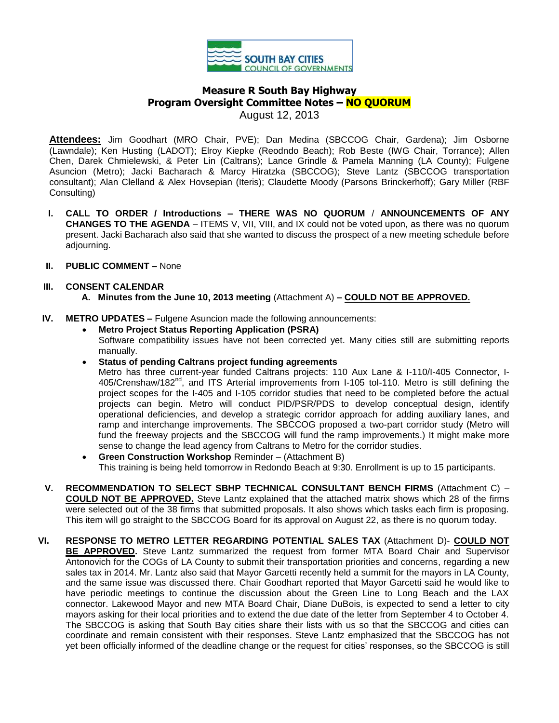

# **Measure R South Bay Highway Program Oversight Committee Notes – NO QUORUM** August 12, 2013

**Attendees:** Jim Goodhart (MRO Chair, PVE); Dan Medina (SBCCOG Chair, Gardena); Jim Osborne (Lawndale); Ken Husting (LADOT); Elroy Kiepke (Reodndo Beach); Rob Beste (IWG Chair, Torrance); Allen Chen, Darek Chmielewski, & Peter Lin (Caltrans); Lance Grindle & Pamela Manning (LA County); Fulgene Asuncion (Metro); Jacki Bacharach & Marcy Hiratzka (SBCCOG); Steve Lantz (SBCCOG transportation consultant); Alan Clelland & Alex Hovsepian (Iteris); Claudette Moody (Parsons Brinckerhoff); Gary Miller (RBF Consulting)

- **I. CALL TO ORDER / Introductions – THERE WAS NO QUORUM** / **ANNOUNCEMENTS OF ANY CHANGES TO THE AGENDA** – ITEMS V, VII, VIII, and IX could not be voted upon, as there was no quorum present. Jacki Bacharach also said that she wanted to discuss the prospect of a new meeting schedule before adjourning.
- **II. PUBLIC COMMENT –** None
- **III. CONSENT CALENDAR A. Minutes from the June 10, 2013 meeting** (Attachment A) **– COULD NOT BE APPROVED.**

## **IV. METRO UPDATES –** Fulgene Asuncion made the following announcements:

- **Metro Project Status Reporting Application (PSRA)**  Software compatibility issues have not been corrected yet. Many cities still are submitting reports manually.
- **Status of pending Caltrans project funding agreements**

Metro has three current-year funded Caltrans projects: 110 Aux Lane & I-110/I-405 Connector, I-405/Crenshaw/182<sup>nd</sup>, and ITS Arterial improvements from I-105 tol-110. Metro is still defining the project scopes for the I-405 and I-105 corridor studies that need to be completed before the actual projects can begin. Metro will conduct PID/PSR/PDS to develop conceptual design, identify operational deficiencies, and develop a strategic corridor approach for adding auxiliary lanes, and ramp and interchange improvements. The SBCCOG proposed a two-part corridor study (Metro will fund the freeway projects and the SBCCOG will fund the ramp improvements.) It might make more sense to change the lead agency from Caltrans to Metro for the corridor studies.

- **Green Construction Workshop** Reminder (Attachment B) This training is being held tomorrow in Redondo Beach at 9:30. Enrollment is up to 15 participants.
- **V. RECOMMENDATION TO SELECT SBHP TECHNICAL CONSULTANT BENCH FIRMS** (Attachment C) **COULD NOT BE APPROVED.** Steve Lantz explained that the attached matrix shows which 28 of the firms were selected out of the 38 firms that submitted proposals. It also shows which tasks each firm is proposing. This item will go straight to the SBCCOG Board for its approval on August 22, as there is no quorum today.
- **VI. RESPONSE TO METRO LETTER REGARDING POTENTIAL SALES TAX** (Attachment D)- **COULD NOT BE APPROVED.** Steve Lantz summarized the request from former MTA Board Chair and Supervisor Antonovich for the COGs of LA County to submit their transportation priorities and concerns, regarding a new sales tax in 2014. Mr. Lantz also said that Mayor Garcetti recently held a summit for the mayors in LA County, and the same issue was discussed there. Chair Goodhart reported that Mayor Garcetti said he would like to have periodic meetings to continue the discussion about the Green Line to Long Beach and the LAX connector. Lakewood Mayor and new MTA Board Chair, Diane DuBois, is expected to send a letter to city mayors asking for their local priorities and to extend the due date of the letter from September 4 to October 4. The SBCCOG is asking that South Bay cities share their lists with us so that the SBCCOG and cities can coordinate and remain consistent with their responses. Steve Lantz emphasized that the SBCCOG has not yet been officially informed of the deadline change or the request for cities' responses, so the SBCCOG is still